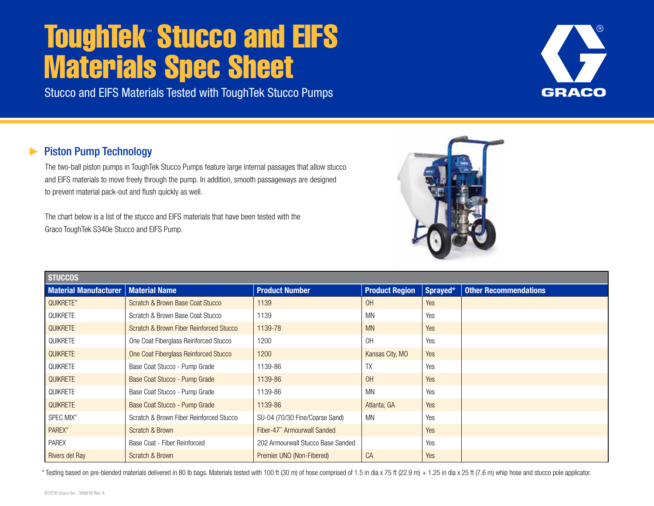## **ToughTek™ Stucco and EIFS** Materials Spec Sheet

Stucco and EIFS Materials Tested with ToughTek Stucco Pumps

## Piston Pump Technology

The two-ball piston pumps in ToughTek Stucco Pumps feature large internal passages that allow stucco and EIFS materials to move freely through the pump. In addition, smooth passageways are designed to prevent material pack-out and flush quickly as well.

The chart below is a list of the stucco and EIFS materials that have been tested with the Graco ToughTek S340e Stucco and EIFS Pump.



\* Testing based on pre-blended materials delivered in 80 lb bags. Materials tested with 100 ft (30 m) of hose comprised of 1.5 in dia x 75 ft (22.9 m) + 1.25 in dia x 25 ft (7.6 m) whip hose and stucco pole applicator.